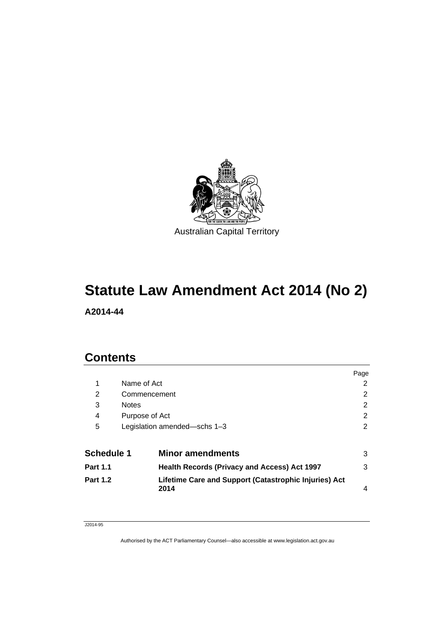

# **Statute Law Amendment Act 2014 (No 2)**

**A2014-44** 

# **Contents**

|                   |              |                                                               | Page           |
|-------------------|--------------|---------------------------------------------------------------|----------------|
| 1                 | Name of Act  |                                                               | 2              |
| 2                 |              | Commencement                                                  | 2              |
| 3                 | <b>Notes</b> |                                                               | $\overline{2}$ |
| 4                 |              | Purpose of Act                                                | 2              |
| 5                 |              | Legislation amended-schs 1-3                                  | 2              |
| <b>Schedule 1</b> |              | <b>Minor amendments</b>                                       | 3              |
| <b>Part 1.1</b>   |              | <b>Health Records (Privacy and Access) Act 1997</b>           | 3              |
| <b>Part 1.2</b>   |              | Lifetime Care and Support (Catastrophic Injuries) Act<br>2014 | 4              |

#### J2014-95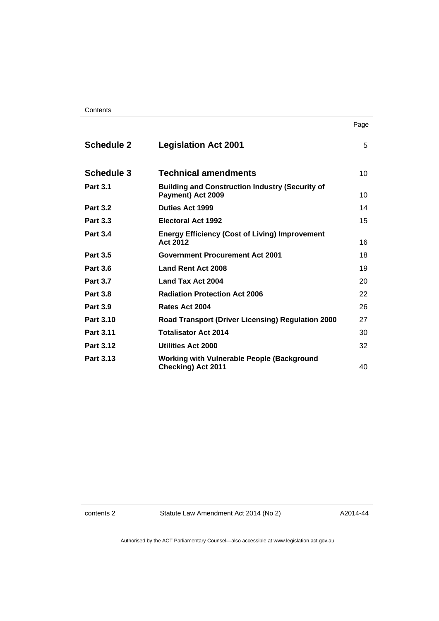| <b>Schedule 2</b> | <b>Legislation Act 2001</b>                                                    | 5  |
|-------------------|--------------------------------------------------------------------------------|----|
| <b>Schedule 3</b> | <b>Technical amendments</b>                                                    | 10 |
| <b>Part 3.1</b>   | <b>Building and Construction Industry (Security of</b><br>Payment) Act 2009    | 10 |
| <b>Part 3.2</b>   | <b>Duties Act 1999</b>                                                         | 14 |
| <b>Part 3.3</b>   | Electoral Act 1992                                                             | 15 |
| <b>Part 3.4</b>   | <b>Energy Efficiency (Cost of Living) Improvement</b><br>Act 2012              | 16 |
| <b>Part 3.5</b>   | <b>Government Procurement Act 2001</b>                                         | 18 |
| <b>Part 3.6</b>   | Land Rent Act 2008                                                             | 19 |
| <b>Part 3.7</b>   | Land Tax Act 2004                                                              | 20 |
| <b>Part 3.8</b>   | <b>Radiation Protection Act 2006</b>                                           | 22 |
| <b>Part 3.9</b>   | Rates Act 2004                                                                 | 26 |
| Part 3.10         | <b>Road Transport (Driver Licensing) Regulation 2000</b>                       | 27 |
| Part 3.11         | <b>Totalisator Act 2014</b>                                                    | 30 |
| <b>Part 3.12</b>  | Utilities Act 2000                                                             | 32 |
| Part 3.13         | <b>Working with Vulnerable People (Background</b><br><b>Checking) Act 2011</b> | 40 |

contents 2 Statute Law Amendment Act 2014 (No 2)

A2014-44

Page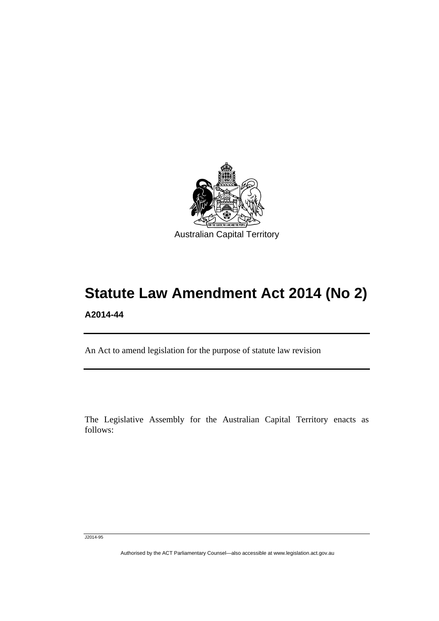

# **Statute Law Amendment Act 2014 (No 2) A2014-44**

An Act to amend legislation for the purpose of statute law revision

The Legislative Assembly for the Australian Capital Territory enacts as follows:

J2014-95

Ī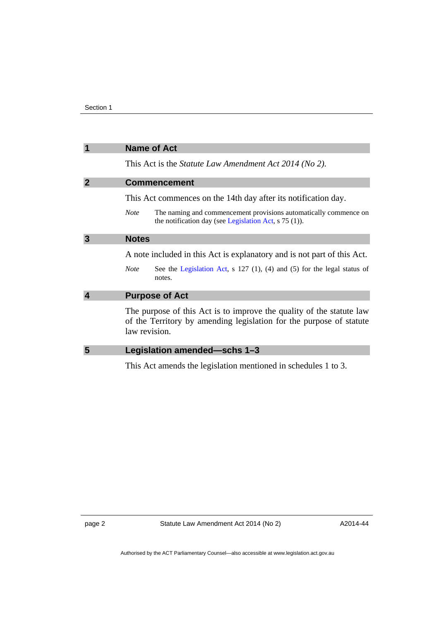<span id="page-3-3"></span><span id="page-3-2"></span><span id="page-3-1"></span><span id="page-3-0"></span>

| 1                       | <b>Name of Act</b>                                                                                                                                           |
|-------------------------|--------------------------------------------------------------------------------------------------------------------------------------------------------------|
|                         | This Act is the <i>Statute Law Amendment Act 2014 (No 2)</i> .                                                                                               |
| $\overline{2}$          | <b>Commencement</b>                                                                                                                                          |
|                         | This Act commences on the 14th day after its notification day.                                                                                               |
|                         | The naming and commencement provisions automatically commence on<br><b>Note</b><br>the notification day (see Legislation Act, $s$ 75 (1)).                   |
| 3                       | <b>Notes</b>                                                                                                                                                 |
|                         | A note included in this Act is explanatory and is not part of this Act.                                                                                      |
|                         | See the Legislation Act, $s$ 127 (1), (4) and (5) for the legal status of<br><b>Note</b><br>notes.                                                           |
| $\overline{\mathbf{4}}$ | <b>Purpose of Act</b>                                                                                                                                        |
|                         | The purpose of this Act is to improve the quality of the statute law<br>of the Territory by amending legislation for the purpose of statute<br>law revision. |
| 5                       | Legislation amended-schs 1-3                                                                                                                                 |
|                         | This Act amends the legislation mentioned in schedules 1 to 3.                                                                                               |

<span id="page-3-4"></span>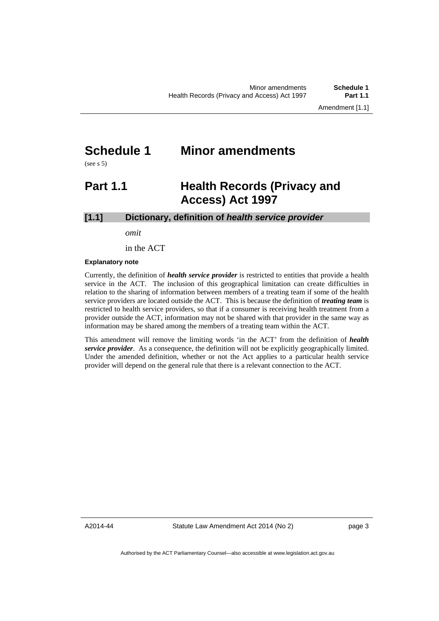# <span id="page-4-0"></span>**Schedule 1 Minor amendments**

(see s 5)

# <span id="page-4-1"></span>**Part 1.1 Health Records (Privacy and Access) Act 1997**

# **[1.1] Dictionary, definition of** *health service provider*

*omit* 

in the ACT

#### **Explanatory note**

Currently, the definition of *health service provider* is restricted to entities that provide a health service in the ACT. The inclusion of this geographical limitation can create difficulties in relation to the sharing of information between members of a treating team if some of the health service providers are located outside the ACT. This is because the definition of *treating team* is restricted to health service providers, so that if a consumer is receiving health treatment from a provider outside the ACT, information may not be shared with that provider in the same way as information may be shared among the members of a treating team within the ACT.

This amendment will remove the limiting words 'in the ACT' from the definition of *health service provider*. As a consequence, the definition will not be explicitly geographically limited. Under the amended definition, whether or not the Act applies to a particular health service provider will depend on the general rule that there is a relevant connection to the ACT.

A2014-44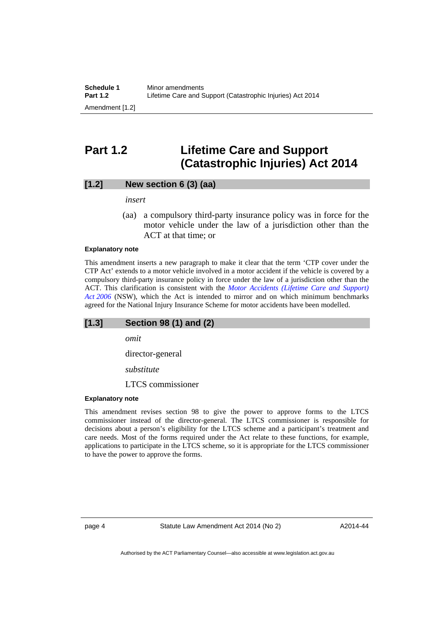# <span id="page-5-0"></span>**Part 1.2 Lifetime Care and Support (Catastrophic Injuries) Act 2014**

# **[1.2] New section 6 (3) (aa)**

*insert* 

 (aa) a compulsory third-party insurance policy was in force for the motor vehicle under the law of a jurisdiction other than the ACT at that time; or

#### **Explanatory note**

This amendment inserts a new paragraph to make it clear that the term 'CTP cover under the CTP Act' extends to a motor vehicle involved in a motor accident if the vehicle is covered by a compulsory third-party insurance policy in force under the law of a jurisdiction other than the ACT. This clarification is consistent with the *[Motor Accidents \(Lifetime Care and Support\)](http://www.legislation.nsw.gov.au/maintop/view/inforce/act+16+2006+cd+0+N)  [Act 2006](http://www.legislation.nsw.gov.au/maintop/view/inforce/act+16+2006+cd+0+N)* (NSW), which the Act is intended to mirror and on which minimum benchmarks agreed for the National Injury Insurance Scheme for motor accidents have been modelled.

# **[1.3] Section 98 (1) and (2)**

*omit* 

director-general

*substitute* 

LTCS commissioner

#### **Explanatory note**

This amendment revises section 98 to give the power to approve forms to the LTCS commissioner instead of the director-general. The LTCS commissioner is responsible for decisions about a person's eligibility for the LTCS scheme and a participant's treatment and care needs. Most of the forms required under the Act relate to these functions, for example, applications to participate in the LTCS scheme, so it is appropriate for the LTCS commissioner to have the power to approve the forms.

page 4 Statute Law Amendment Act 2014 (No 2)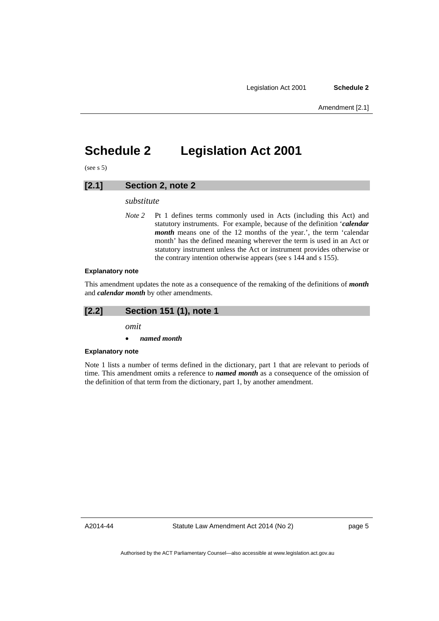# <span id="page-6-0"></span>**Schedule 2 Legislation Act 2001**

 $(see s 5)$ 

# **[2.1] Section 2, note 2**

#### *substitute*

*Note* 2 Pt 1 defines terms commonly used in Acts (including this Act) and statutory instruments. For example, because of the definition '*calendar month* means one of the 12 months of the year.', the term 'calendar month' has the defined meaning wherever the term is used in an Act or statutory instrument unless the Act or instrument provides otherwise or the contrary intention otherwise appears (see s 144 and s 155).

#### **Explanatory note**

This amendment updates the note as a consequence of the remaking of the definitions of *month* and *calendar month* by other amendments.

# **[2.2] Section 151 (1), note 1**

*omit* 

#### *named month*

#### **Explanatory note**

Note 1 lists a number of terms defined in the dictionary, part 1 that are relevant to periods of time. This amendment omits a reference to *named month* as a consequence of the omission of the definition of that term from the dictionary, part 1, by another amendment.

A2014-44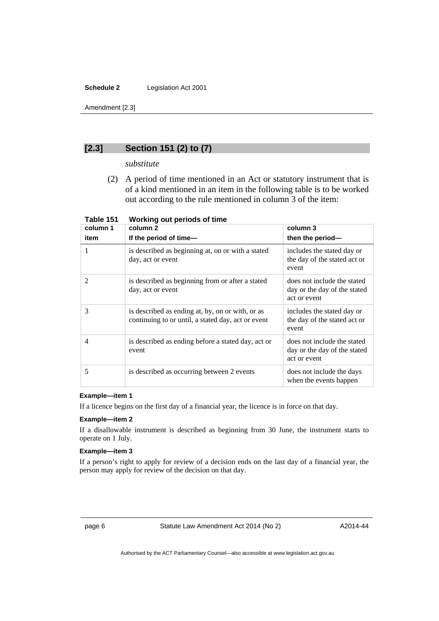### **Schedule 2** Legislation Act 2001

Amendment [2.3]

# **[2.3] Section 151 (2) to (7)**

*substitute* 

 (2) A period of time mentioned in an Act or statutory instrument that is of a kind mentioned in an item in the following table is to be worked out according to the rule mentioned in column 3 of the item:

| column 1       | column 2                                                                                               | column 3                                                                    |
|----------------|--------------------------------------------------------------------------------------------------------|-----------------------------------------------------------------------------|
| item           | If the period of time-                                                                                 | then the period-                                                            |
| 1              | is described as beginning at, on or with a stated<br>day, act or event                                 | includes the stated day or<br>the day of the stated act or<br>event         |
| $\overline{2}$ | is described as beginning from or after a stated<br>day, act or event                                  | does not include the stated<br>day or the day of the stated<br>act or event |
| 3              | is described as ending at, by, on or with, or as<br>continuing to or until, a stated day, act or event | includes the stated day or<br>the day of the stated act or<br>event         |
| 4              | is described as ending before a stated day, act or<br>event                                            | does not include the stated<br>day or the day of the stated<br>act or event |
| 5              | is described as occurring between 2 events                                                             | does not include the days<br>when the events happen                         |

**Table 151 Working out periods of time** 

#### **Example—item 1**

If a licence begins on the first day of a financial year, the licence is in force on that day.

#### **Example—item 2**

If a disallowable instrument is described as beginning from 30 June, the instrument starts to operate on 1 July.

## **Example—item 3**

If a person's right to apply for review of a decision ends on the last day of a financial year, the person may apply for review of the decision on that day.

page 6 Statute Law Amendment Act 2014 (No 2)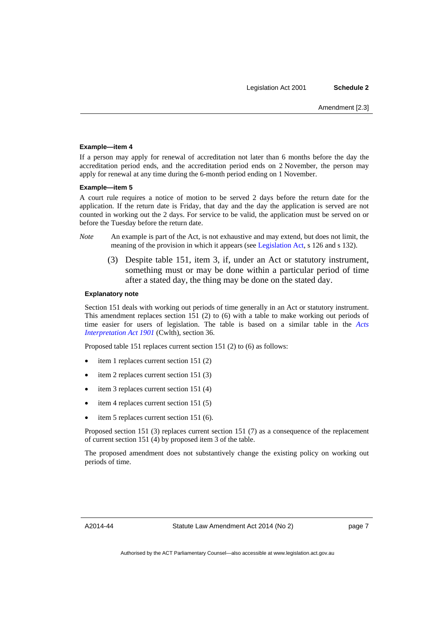#### **Example—item 4**

If a person may apply for renewal of accreditation not later than 6 months before the day the accreditation period ends, and the accreditation period ends on 2 November, the person may apply for renewal at any time during the 6-month period ending on 1 November.

#### **Example—item 5**

A court rule requires a notice of motion to be served 2 days before the return date for the application. If the return date is Friday, that day and the day the application is served are not counted in working out the 2 days. For service to be valid, the application must be served on or before the Tuesday before the return date.

- *Note* An example is part of the Act, is not exhaustive and may extend, but does not limit, the meaning of the provision in which it appears (see [Legislation Act](http://www.legislation.act.gov.au/a/2001-14), s 126 and s 132).
	- (3) Despite table 151, item 3, if, under an Act or statutory instrument, something must or may be done within a particular period of time after a stated day, the thing may be done on the stated day.

#### **Explanatory note**

Section 151 deals with working out periods of time generally in an Act or statutory instrument. This amendment replaces section 151 (2) to (6) with a table to make working out periods of time easier for users of legislation. The table is based on a similar table in the *[Acts](http://www.comlaw.gov.au/Series/C1901A00002)  [Interpretation Act 1901](http://www.comlaw.gov.au/Series/C1901A00002)* (Cwlth), section 36.

Proposed table 151 replaces current section 151 (2) to (6) as follows:

- item 1 replaces current section 151 (2)
- item 2 replaces current section 151 (3)
- item 3 replaces current section 151 (4)
- item 4 replaces current section 151 (5)
- item 5 replaces current section 151 (6).

Proposed section 151 (3) replaces current section 151 (7) as a consequence of the replacement of current section 151 (4) by proposed item 3 of the table.

The proposed amendment does not substantively change the existing policy on working out periods of time.

A2014-44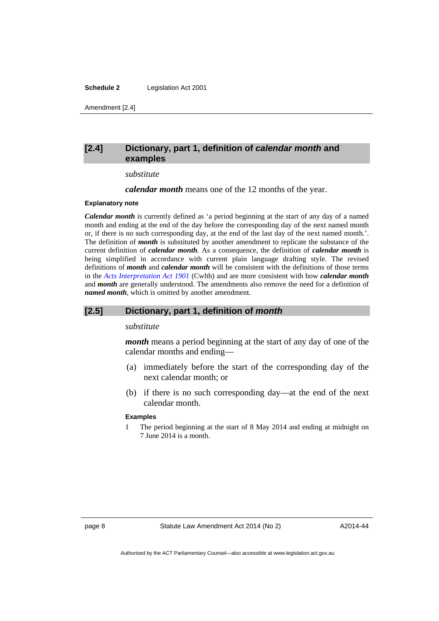#### **Schedule 2** Legislation Act 2001

Amendment [2.4]

# **[2.4] Dictionary, part 1, definition of** *calendar month* **and examples**

#### *substitute*

*calendar month* means one of the 12 months of the year.

#### **Explanatory note**

*Calendar month* is currently defined as 'a period beginning at the start of any day of a named month and ending at the end of the day before the corresponding day of the next named month or, if there is no such corresponding day, at the end of the last day of the next named month.'. The definition of *month* is substituted by another amendment to replicate the substance of the current definition of *calendar month*. As a consequence, the definition of *calendar month* is being simplified in accordance with current plain language drafting style. The revised definitions of *month* and *calendar month* will be consistent with the definitions of those terms in the *[Acts Interpretation Act 1901](http://www.comlaw.gov.au/Series/C1901A00002)* (Cwlth) and are more consistent with how *calendar month* and *month* are generally understood. The amendments also remove the need for a definition of *named month*, which is omitted by another amendment.

# **[2.5] Dictionary, part 1, definition of** *month*

#### *substitute*

*month* means a period beginning at the start of any day of one of the calendar months and ending—

- (a) immediately before the start of the corresponding day of the next calendar month; or
- (b) if there is no such corresponding day—at the end of the next calendar month.

#### **Examples**

1 The period beginning at the start of 8 May 2014 and ending at midnight on 7 June 2014 is a month.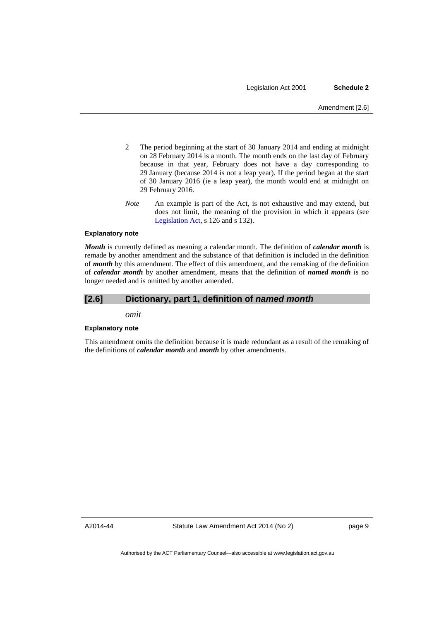- 2 The period beginning at the start of 30 January 2014 and ending at midnight on 28 February 2014 is a month. The month ends on the last day of February because in that year, February does not have a day corresponding to 29 January (because 2014 is not a leap year). If the period began at the start of 30 January 2016 (ie a leap year), the month would end at midnight on 29 February 2016.
- *Note* An example is part of the Act, is not exhaustive and may extend, but does not limit, the meaning of the provision in which it appears (see [Legislation Act,](http://www.legislation.act.gov.au/a/2001-14) s 126 and s 132).

#### **Explanatory note**

*Month* is currently defined as meaning a calendar month. The definition of *calendar month* is remade by another amendment and the substance of that definition is included in the definition of *month* by this amendment. The effect of this amendment, and the remaking of the definition of *calendar month* by another amendment, means that the definition of *named month* is no longer needed and is omitted by another amended.

#### **[2.6] Dictionary, part 1, definition of** *named month*

*omit* 

#### **Explanatory note**

This amendment omits the definition because it is made redundant as a result of the remaking of the definitions of *calendar month* and *month* by other amendments.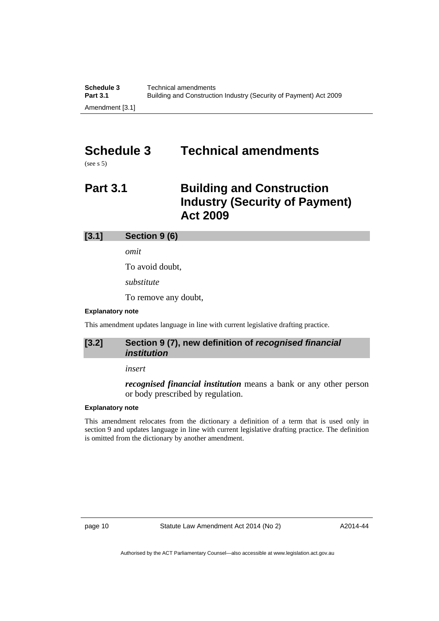# <span id="page-11-0"></span>**Schedule 3 Technical amendments**

(see s 5)

# <span id="page-11-1"></span>**Part 3.1** Building and Construction **Industry (Security of Payment) Act 2009**

# **[3.1] Section 9 (6)**

*omit* 

To avoid doubt,

*substitute* 

To remove any doubt,

# **Explanatory note**

This amendment updates language in line with current legislative drafting practice.

# **[3.2] Section 9 (7), new definition of** *recognised financial institution*

### *insert*

*recognised financial institution* means a bank or any other person or body prescribed by regulation.

#### **Explanatory note**

This amendment relocates from the dictionary a definition of a term that is used only in section 9 and updates language in line with current legislative drafting practice. The definition is omitted from the dictionary by another amendment.

page 10 Statute Law Amendment Act 2014 (No 2)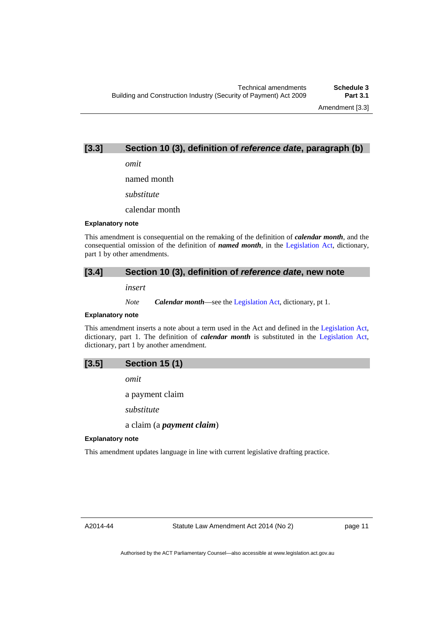Amendment [3.3]

# **[3.3] Section 10 (3), definition of** *reference date***, paragraph (b)**

*omit* 

named month

*substitute* 

calendar month

#### **Explanatory note**

This amendment is consequential on the remaking of the definition of *calendar month*, and the consequential omission of the definition of *named month*, in the [Legislation Act](http://www.legislation.act.gov.au/a/2001-14), dictionary, part 1 by other amendments.

# **[3.4] Section 10 (3), definition of** *reference date***, new note**

*insert* 

*Note Calendar month*—see the [Legislation Act,](http://www.legislation.act.gov.au/a/2001-14) dictionary, pt 1.

#### **Explanatory note**

This amendment inserts a note about a term used in the Act and defined in the [Legislation Act,](http://www.legislation.act.gov.au/a/2001-14) dictionary, part 1. The definition of *calendar month* is substituted in the [Legislation Act,](http://www.legislation.act.gov.au/a/2001-14) dictionary, part 1 by another amendment.



*omit* 

a payment claim

*substitute* 

a claim (a *payment claim*)

#### **Explanatory note**

This amendment updates language in line with current legislative drafting practice.

A2014-44

page 11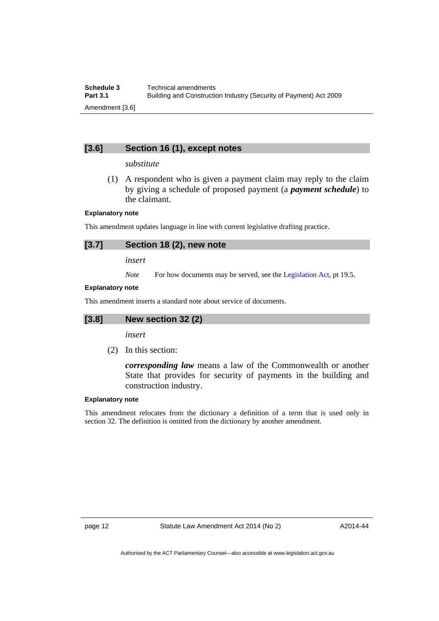# **[3.6] Section 16 (1), except notes**

## *substitute*

 (1) A respondent who is given a payment claim may reply to the claim by giving a schedule of proposed payment (a *payment schedule*) to the claimant.

# **Explanatory note**

This amendment updates language in line with current legislative drafting practice.

# **[3.7] Section 18 (2), new note**

*insert* 

*Note* For how documents may be served, see the [Legislation Act,](http://www.legislation.act.gov.au/a/2001-14) pt 19.5.

### **Explanatory note**

This amendment inserts a standard note about service of documents.

# **[3.8] New section 32 (2)**

*insert* 

(2) In this section:

*corresponding law* means a law of the Commonwealth or another State that provides for security of payments in the building and construction industry.

# **Explanatory note**

This amendment relocates from the dictionary a definition of a term that is used only in section 32. The definition is omitted from the dictionary by another amendment.

page 12 Statute Law Amendment Act 2014 (No 2)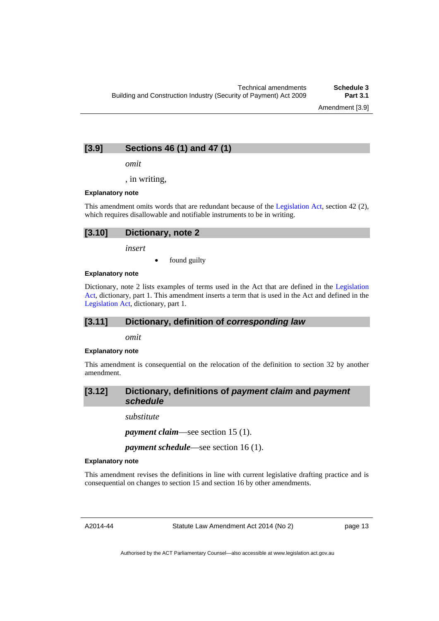Amendment [3.9]

# **[3.9] Sections 46 (1) and 47 (1)**

*omit* 

, in writing,

#### **Explanatory note**

This amendment omits words that are redundant because of the [Legislation Act,](http://www.legislation.act.gov.au/a/2001-14) section 42 (2), which requires disallowable and notifiable instruments to be in writing.

| [3.10] Dictionary, note 2 |  |
|---------------------------|--|
|                           |  |

*insert* 

found guilty

#### **Explanatory note**

Dictionary, note 2 lists examples of terms used in the Act that are defined in the [Legislation](http://www.legislation.act.gov.au/a/2001-14)  [Act,](http://www.legislation.act.gov.au/a/2001-14) dictionary, part 1. This amendment inserts a term that is used in the Act and defined in the [Legislation Act,](http://www.legislation.act.gov.au/a/2001-14) dictionary, part 1.

# **[3.11] Dictionary, definition of** *corresponding law*

*omit* 

#### **Explanatory note**

This amendment is consequential on the relocation of the definition to section 32 by another amendment.

# **[3.12] Dictionary, definitions of** *payment claim* **and** *payment schedule*

*substitute* 

*payment claim*—see section 15 (1).

*payment schedule*—see section 16 (1).

#### **Explanatory note**

This amendment revises the definitions in line with current legislative drafting practice and is consequential on changes to section 15 and section 16 by other amendments.

A2014-44

Statute Law Amendment Act 2014 (No 2)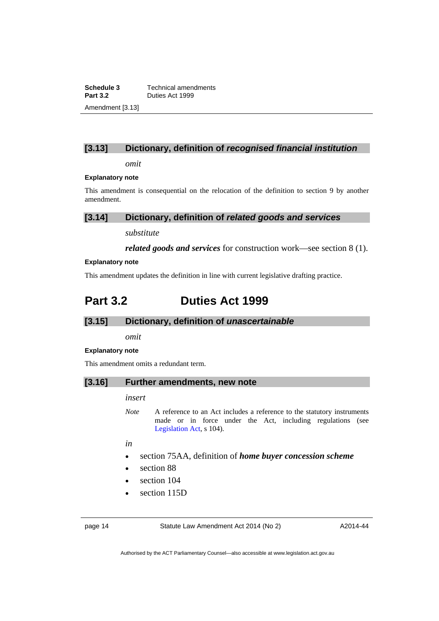**Schedule 3 Technical amendments**<br>**Part 3.2 Duties Act 1999 Part 3.2** Duties Act 1999 Amendment [3.13]

# **[3.13] Dictionary, definition of** *recognised financial institution*

*omit* 

#### **Explanatory note**

This amendment is consequential on the relocation of the definition to section 9 by another amendment.

# **[3.14] Dictionary, definition of** *related goods and services*

*substitute* 

*related goods and services* for construction work—see section 8 (1).

#### **Explanatory note**

This amendment updates the definition in line with current legislative drafting practice.

# <span id="page-15-0"></span>**Part 3.2 Duties Act 1999**

# **[3.15] Dictionary, definition of** *unascertainable*

*omit* 

#### **Explanatory note**

This amendment omits a redundant term.

## **[3.16] Further amendments, new note**

#### *insert*

*Note* A reference to an Act includes a reference to the statutory instruments made or in force under the Act, including regulations (see [Legislation Act,](http://www.legislation.act.gov.au/a/2001-14) s 104).

*in* 

- section 75AA, definition of *home buyer concession scheme*
- section 88
- section 104
- section 115D

page 14 Statute Law Amendment Act 2014 (No 2)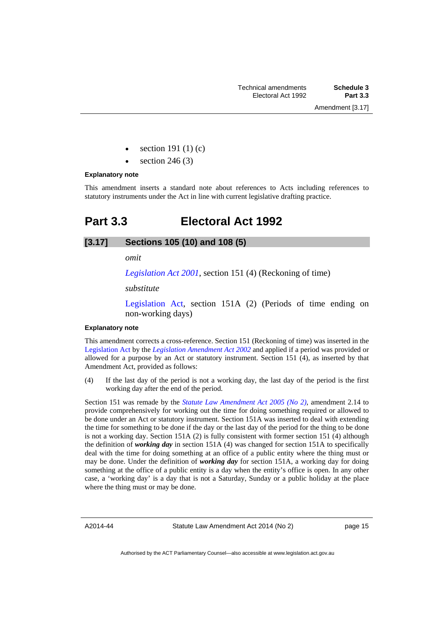- section 191 (1) (c)
- section 246 (3)

#### **Explanatory note**

This amendment inserts a standard note about references to Acts including references to statutory instruments under the Act in line with current legislative drafting practice.

# <span id="page-16-0"></span>**Part 3.3 Electoral Act 1992**

# **[3.17] Sections 105 (10) and 108 (5)**

#### *omit*

*[Legislation Act 2001](http://www.legislation.act.gov.au/a/2001-14)*, section 151 (4) (Reckoning of time)

*substitute* 

[Legislation Act,](http://www.legislation.act.gov.au/a/2001-14) section 151A (2) (Periods of time ending on non-working days)

### **Explanatory note**

This amendment corrects a cross-reference. Section 151 (Reckoning of time) was inserted in the [Legislation Act](http://www.legislation.act.gov.au/a/2001-14) by the *[Legislation Amendment Act 2002](http://www.legislation.act.gov.au/a/2002-11/default.asp)* and applied if a period was provided or allowed for a purpose by an Act or statutory instrument. Section 151 (4), as inserted by that Amendment Act, provided as follows:

(4) If the last day of the period is not a working day, the last day of the period is the first working day after the end of the period.

Section 151 was remade by the *[Statute Law Amendment Act 2005 \(No 2\)](http://www.legislation.act.gov.au/a/2005-62/default.asp)*, amendment 2.14 to provide comprehensively for working out the time for doing something required or allowed to be done under an Act or statutory instrument. Section 151A was inserted to deal with extending the time for something to be done if the day or the last day of the period for the thing to be done is not a working day. Section 151A (2) is fully consistent with former section 151 (4) although the definition of *working day* in section 151A (4) was changed for section 151A to specifically deal with the time for doing something at an office of a public entity where the thing must or may be done. Under the definition of *working day* for section 151A, a working day for doing something at the office of a public entity is a day when the entity's office is open. In any other case, a 'working day' is a day that is not a Saturday, Sunday or a public holiday at the place where the thing must or may be done.

A2014-44

Statute Law Amendment Act 2014 (No 2)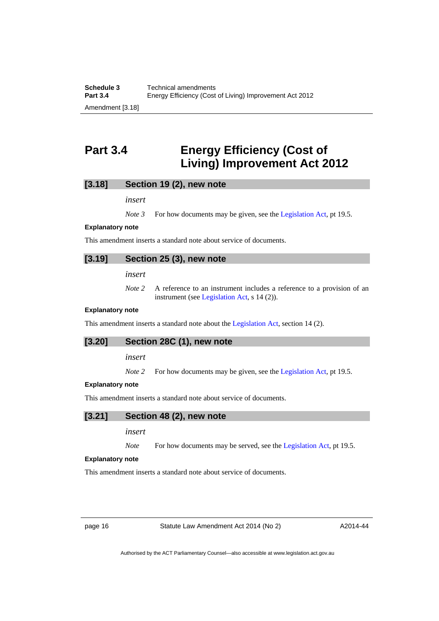# <span id="page-17-0"></span>**Part 3.4 Energy Efficiency (Cost of Living) Improvement Act 2012**

### **[3.18] Section 19 (2), new note**

*insert* 

*Note 3* For how documents may be given, see the [Legislation Act,](http://www.legislation.act.gov.au/a/2001-14) pt 19.5.

#### **Explanatory note**

This amendment inserts a standard note about service of documents.

# **[3.19] Section 25 (3), new note**

*insert* 

*Note 2* A reference to an instrument includes a reference to a provision of an instrument (see [Legislation Act,](http://www.legislation.act.gov.au/a/2001-14) s 14 (2)).

#### **Explanatory note**

This amendment inserts a standard note about the [Legislation Act,](http://www.legislation.act.gov.au/a/2001-14) section 14 (2).

#### **[3.20] Section 28C (1), new note**

*insert* 

*Note 2* For how documents may be given, see the [Legislation Act,](http://www.legislation.act.gov.au/a/2001-14) pt 19.5.

#### **Explanatory note**

This amendment inserts a standard note about service of documents.

# **[3.21] Section 48 (2), new note**

*insert* 

*Note* For how documents may be served, see the [Legislation Act,](http://www.legislation.act.gov.au/a/2001-14) pt 19.5.

#### **Explanatory note**

This amendment inserts a standard note about service of documents.

page 16 Statute Law Amendment Act 2014 (No 2)

A2014-44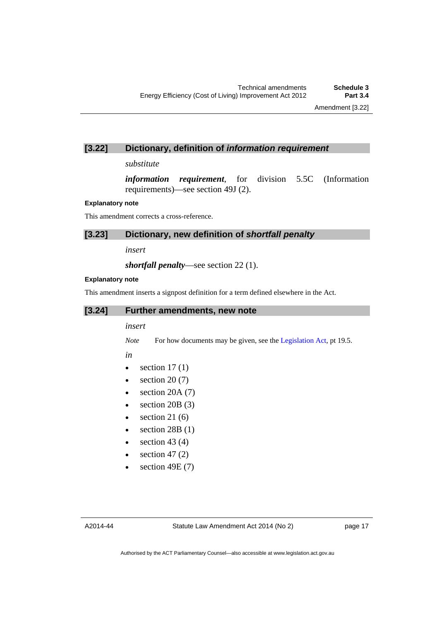# **[3.22] Dictionary, definition of** *information requirement*

*substitute* 

*information requirement*, for division 5.5C (Information requirements)—see section 49J (2).

#### **Explanatory note**

This amendment corrects a cross-reference.

### **[3.23] Dictionary, new definition of** *shortfall penalty*

*insert* 

*shortfall penalty*—see section 22 (1).

#### **Explanatory note**

This amendment inserts a signpost definition for a term defined elsewhere in the Act.

# **[3.24] Further amendments, new note**

#### *insert*

*Note* For how documents may be given, see the [Legislation Act,](http://www.legislation.act.gov.au/a/2001-14) pt 19.5.

*in* 

- $\bullet$  section 17(1)
- $\bullet$  section 20 (7)
- $\bullet$  section 20A (7)
- $\bullet$  section 20B (3)
- $\bullet$  section 21 (6)
- $\bullet$  section 28B (1)
- $\bullet$  section 43 (4)
- $\bullet$  section 47 (2)
- $\bullet$  section 49E (7)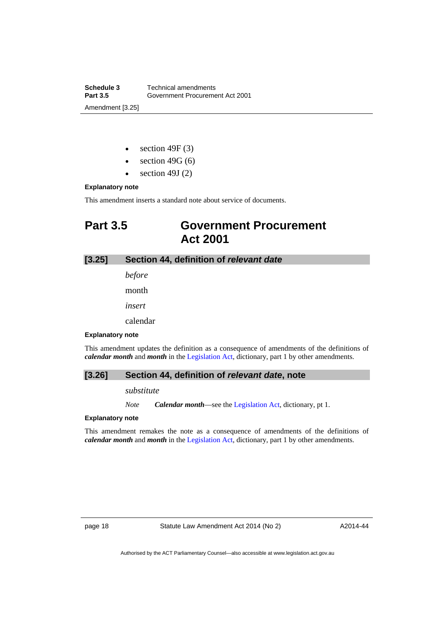**Schedule 3 Technical amendments**<br>**Part 3.5 Government Procureme Part 3.5** Government Procurement Act 2001 Amendment [3.25]

- $\bullet$  section 49F (3)
- $\bullet$  section 49G (6)
- $\bullet$  section 49J (2)

### **Explanatory note**

This amendment inserts a standard note about service of documents.

# <span id="page-19-0"></span>**Part 3.5 Government Procurement Act 2001**

# **[3.25] Section 44, definition of** *relevant date*

*before*  month *insert* 

calendar

#### **Explanatory note**

This amendment updates the definition as a consequence of amendments of the definitions of *calendar month* and *month* in the [Legislation Act,](http://www.legislation.act.gov.au/a/2001-14) dictionary, part 1 by other amendments.

# **[3.26] Section 44, definition of** *relevant date***, note**

*substitute* 

*Note Calendar month*—see the [Legislation Act,](http://www.legislation.act.gov.au/a/2001-14) dictionary, pt 1.

### **Explanatory note**

This amendment remakes the note as a consequence of amendments of the definitions of *calendar month* and *month* in the [Legislation Act,](http://www.legislation.act.gov.au/a/2001-14) dictionary, part 1 by other amendments.

page 18 Statute Law Amendment Act 2014 (No 2)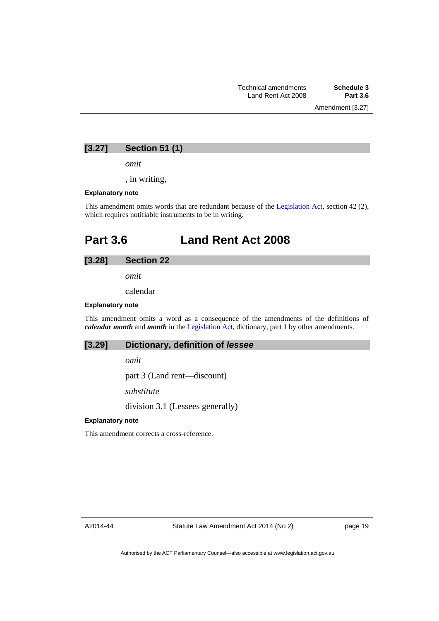# **[3.27] Section 51 (1)**

*omit* 

, in writing,

#### **Explanatory note**

This amendment omits words that are redundant because of the [Legislation Act,](http://www.legislation.act.gov.au/a/2001-14) section 42 (2), which requires notifiable instruments to be in writing.

# <span id="page-20-0"></span>**Part 3.6 Land Rent Act 2008**

## **[3.28] Section 22**

*omit* 

calendar

#### **Explanatory note**

This amendment omits a word as a consequence of the amendments of the definitions of *calendar month* and *month* in the [Legislation Act,](http://www.legislation.act.gov.au/a/2001-14) dictionary, part 1 by other amendments.

# **[3.29] Dictionary, definition of** *lessee*

*omit* 

part 3 (Land rent—discount)

*substitute* 

division 3.1 (Lessees generally)

#### **Explanatory note**

This amendment corrects a cross-reference.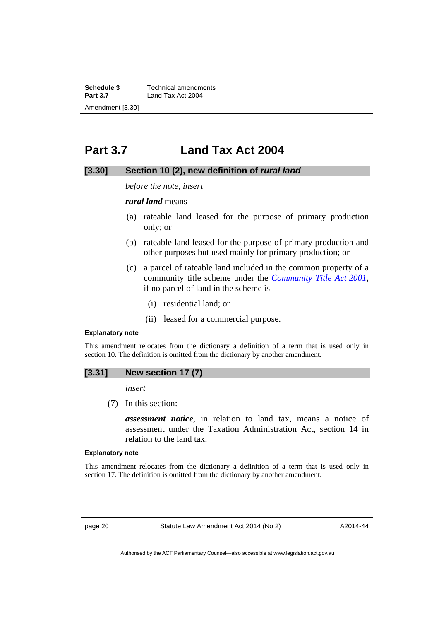**Schedule 3 Technical amendments**<br>**Part 3.7 Land Tax Act 2004 Part 3.7** Land Tax Act 2004 Amendment [3.30]

# <span id="page-21-0"></span>**Part 3.7 Land Tax Act 2004**

# **[3.30] Section 10 (2), new definition of** *rural land*

*before the note, insert* 

*rural land* means—

- (a) rateable land leased for the purpose of primary production only; or
- (b) rateable land leased for the purpose of primary production and other purposes but used mainly for primary production; or
- (c) a parcel of rateable land included in the common property of a community title scheme under the *[Community Title Act 2001](http://www.legislation.act.gov.au/a/2001-58)*, if no parcel of land in the scheme is—
	- (i) residential land; or
	- (ii) leased for a commercial purpose.

#### **Explanatory note**

This amendment relocates from the dictionary a definition of a term that is used only in section 10. The definition is omitted from the dictionary by another amendment.

# **[3.31] New section 17 (7)**

*insert* 

(7) In this section:

*assessment notice*, in relation to land tax, means a notice of assessment under the Taxation Administration Act, section 14 in relation to the land tax.

#### **Explanatory note**

This amendment relocates from the dictionary a definition of a term that is used only in section 17. The definition is omitted from the dictionary by another amendment.

page 20 Statute Law Amendment Act 2014 (No 2)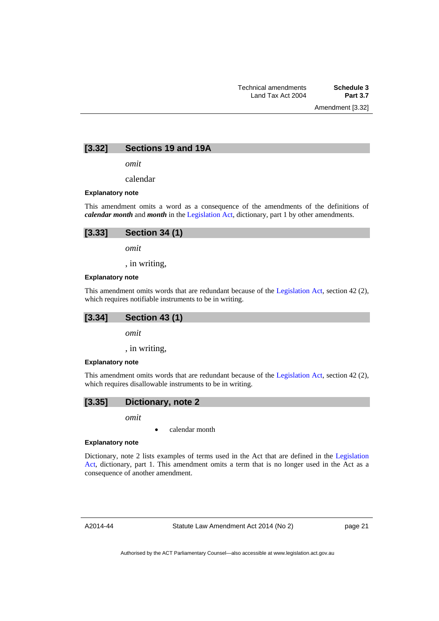Amendment [3.32]

### **[3.32] Sections 19 and 19A**

*omit* 

calendar

#### **Explanatory note**

This amendment omits a word as a consequence of the amendments of the definitions of *calendar month* and *month* in the [Legislation Act,](http://www.legislation.act.gov.au/a/2001-14) dictionary, part 1 by other amendments.

| $[3.33]$ Section 34 (1) |
|-------------------------|
| omit                    |

, in writing,

## **Explanatory note**

This amendment omits words that are redundant because of the [Legislation Act,](http://www.legislation.act.gov.au/a/2001-14) section 42 (2), which requires notifiable instruments to be in writing.

### **[3.34] Section 43 (1)**

*omit* 

, in writing,

#### **Explanatory note**

This amendment omits words that are redundant because of the [Legislation Act,](http://www.legislation.act.gov.au/a/2001-14) section 42 (2), which requires disallowable instruments to be in writing.

# **[3.35] Dictionary, note 2**

*omit* 

calendar month

#### **Explanatory note**

Dictionary, note 2 lists examples of terms used in the Act that are defined in the [Legislation](http://www.legislation.act.gov.au/a/2001-14)  [Act,](http://www.legislation.act.gov.au/a/2001-14) dictionary, part 1. This amendment omits a term that is no longer used in the Act as a consequence of another amendment.

A2014-44

Statute Law Amendment Act 2014 (No 2)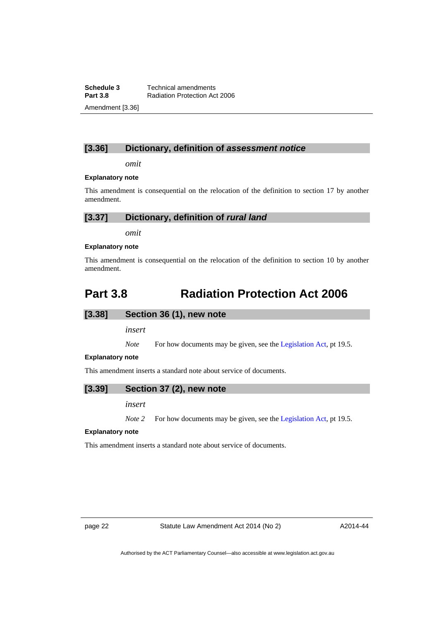**Schedule 3 Technical amendments**<br>**Part 3.8 Radiation Protection Ac Radiation Protection Act 2006** Amendment [3.36]

# **[3.36] Dictionary, definition of** *assessment notice*

*omit* 

#### **Explanatory note**

This amendment is consequential on the relocation of the definition to section 17 by another amendment.

# **[3.37] Dictionary, definition of** *rural land*

*omit* 

#### **Explanatory note**

This amendment is consequential on the relocation of the definition to section 10 by another amendment.

# <span id="page-23-0"></span>**Part 3.8 Radiation Protection Act 2006**

### **[3.38] Section 36 (1), new note**

*insert* 

*Note* For how documents may be given, see the [Legislation Act,](http://www.legislation.act.gov.au/a/2001-14) pt 19.5.

#### **Explanatory note**

This amendment inserts a standard note about service of documents.

### **[3.39] Section 37 (2), new note**

*insert* 

*Note 2* For how documents may be given, see the [Legislation Act,](http://www.legislation.act.gov.au/a/2001-14) pt 19.5.

#### **Explanatory note**

This amendment inserts a standard note about service of documents.

page 22 Statute Law Amendment Act 2014 (No 2)

A2014-44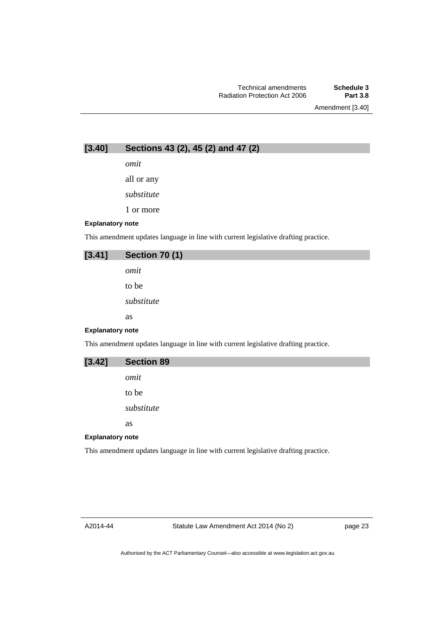Amendment [3.40]

**[3.40] Sections 43 (2), 45 (2) and 47 (2)** 

*omit* 

all or any

*substitute* 

1 or more

### **Explanatory note**

This amendment updates language in line with current legislative drafting practice.

| [3.41]                  | <b>Section 70 (1)</b> |
|-------------------------|-----------------------|
|                         | omit                  |
|                         | to be                 |
|                         | substitute            |
|                         | as                    |
| <b>Explanatory note</b> |                       |
| ___                     | .<br>.                |

This amendment updates language in line with current legislative drafting practice.

| [3.42]                  | <b>Section 89</b> |  |
|-------------------------|-------------------|--|
|                         | omit              |  |
|                         | to be             |  |
|                         | substitute        |  |
|                         | <b>as</b>         |  |
| <b>Explanatory note</b> |                   |  |

This amendment updates language in line with current legislative drafting practice.

A2014-44

Statute Law Amendment Act 2014 (No 2)

page 23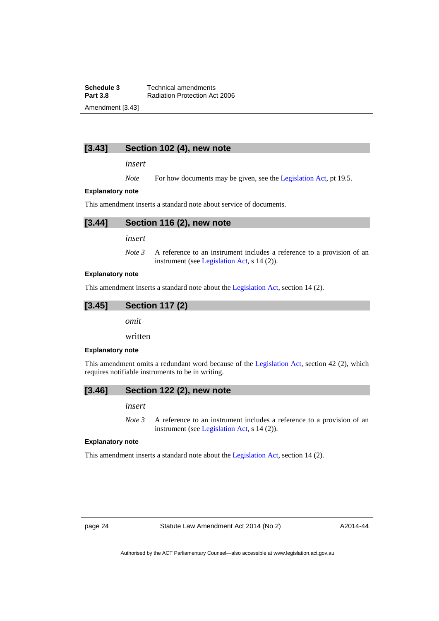**Schedule 3 Technical amendments**<br>**Part 3.8 Radiation Protection Ac Radiation Protection Act 2006** Amendment [3.43]

# **[3.43] Section 102 (4), new note**

*insert* 

*Note* For how documents may be given, see the [Legislation Act,](http://www.legislation.act.gov.au/a/2001-14) pt 19.5.

#### **Explanatory note**

This amendment inserts a standard note about service of documents.



*insert* 

*Note 3* A reference to an instrument includes a reference to a provision of an instrument (see [Legislation Act,](http://www.legislation.act.gov.au/a/2001-14) s 14 (2)).

#### **Explanatory note**

This amendment inserts a standard note about the [Legislation Act,](http://www.legislation.act.gov.au/a/2001-14) section 14 (2).

# **[3.45] Section 117 (2)**

*omit* 

written

#### **Explanatory note**

This amendment omits a redundant word because of the [Legislation Act,](http://www.legislation.act.gov.au/a/2001-14) section 42 (2), which requires notifiable instruments to be in writing.

### **[3.46] Section 122 (2), new note**

*insert* 

*Note 3* A reference to an instrument includes a reference to a provision of an instrument (see [Legislation Act,](http://www.legislation.act.gov.au/a/2001-14) s 14 (2)).

#### **Explanatory note**

This amendment inserts a standard note about the [Legislation Act,](http://www.legislation.act.gov.au/a/2001-14) section 14 (2).

page 24 Statute Law Amendment Act 2014 (No 2)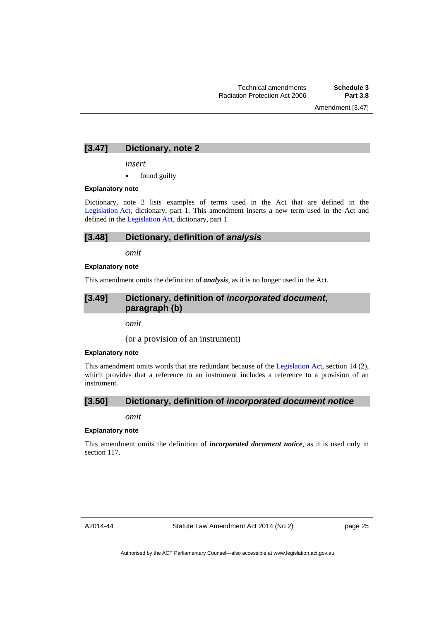Amendment [3.47]

# **[3.47] Dictionary, note 2**

*insert* 

• found guilty

#### **Explanatory note**

Dictionary, note 2 lists examples of terms used in the Act that are defined in the [Legislation Act,](http://www.legislation.act.gov.au/a/2001-14) dictionary, part 1. This amendment inserts a new term used in the Act and defined in the [Legislation Act](http://www.legislation.act.gov.au/a/2001-14), dictionary, part 1.

# **[3.48] Dictionary, definition of** *analysis*

*omit* 

#### **Explanatory note**

This amendment omits the definition of *analysis*, as it is no longer used in the Act.

# **[3.49] Dictionary, definition of** *incorporated document***, paragraph (b)**

*omit* 

(or a provision of an instrument)

#### **Explanatory note**

This amendment omits words that are redundant because of the [Legislation Act](http://www.legislation.act.gov.au/a/2001-14), section 14 (2), which provides that a reference to an instrument includes a reference to a provision of an instrument.

# **[3.50] Dictionary, definition of** *incorporated document notice*

*omit* 

#### **Explanatory note**

This amendment omits the definition of *incorporated document notice*, as it is used only in section 117.

A2014-44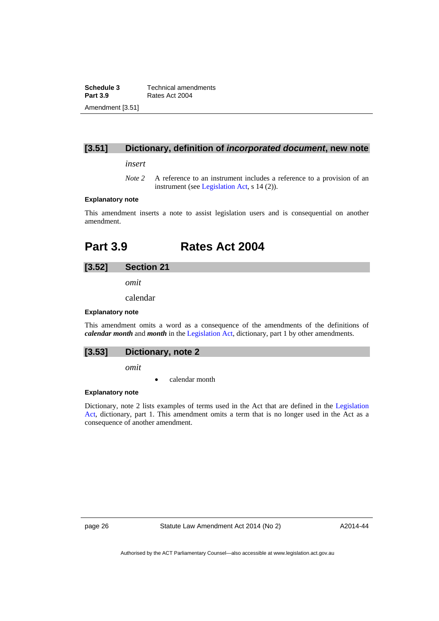**Schedule 3 Technical amendments**<br>**Part 3.9 Rates Act 2004 Part 3.9** Rates Act 2004 Amendment [3.51]

# **[3.51] Dictionary, definition of** *incorporated document***, new note**

*insert* 

*Note* 2 A reference to an instrument includes a reference to a provision of an instrument (see [Legislation Act,](http://www.legislation.act.gov.au/a/2001-14) s 14 (2)).

### **Explanatory note**

This amendment inserts a note to assist legislation users and is consequential on another amendment.

# <span id="page-27-0"></span>**Part 3.9 Rates Act 2004**

# **[3.52] Section 21**

*omit* 

calendar

#### **Explanatory note**

This amendment omits a word as a consequence of the amendments of the definitions of *calendar month* and *month* in the [Legislation Act,](http://www.legislation.act.gov.au/a/2001-14) dictionary, part 1 by other amendments.

*omit* 

calendar month

#### **Explanatory note**

Dictionary, note 2 lists examples of terms used in the Act that are defined in the [Legislation](http://www.legislation.act.gov.au/a/2001-14)  [Act,](http://www.legislation.act.gov.au/a/2001-14) dictionary, part 1. This amendment omits a term that is no longer used in the Act as a consequence of another amendment.

page 26 Statute Law Amendment Act 2014 (No 2)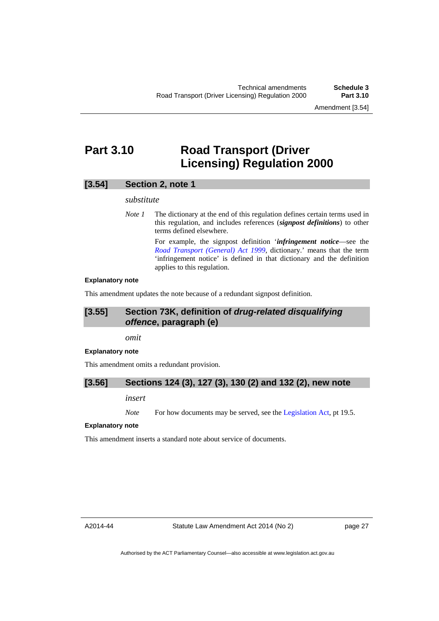Amendment [3.54]

# <span id="page-28-0"></span>**Part 3.10 Road Transport (Driver Licensing) Regulation 2000**

# **[3.54] Section 2, note 1**

#### *substitute*

*Note 1* The dictionary at the end of this regulation defines certain terms used in this regulation, and includes references (*signpost definitions*) to other terms defined elsewhere.

> For example, the signpost definition '*infringement notice*—see the *[Road Transport \(General\) Act 1999](http://www.legislation.act.gov.au/a/1999-77)*, dictionary.' means that the term 'infringement notice' is defined in that dictionary and the definition applies to this regulation.

#### **Explanatory note**

This amendment updates the note because of a redundant signpost definition.

# **[3.55] Section 73K, definition of** *drug-related disqualifying offence***, paragraph (e)**

*omit* 

#### **Explanatory note**

This amendment omits a redundant provision.

# **[3.56] Sections 124 (3), 127 (3), 130 (2) and 132 (2), new note**

*insert* 

*Note* For how documents may be served, see the [Legislation Act,](http://www.legislation.act.gov.au/a/2001-14) pt 19.5.

#### **Explanatory note**

This amendment inserts a standard note about service of documents.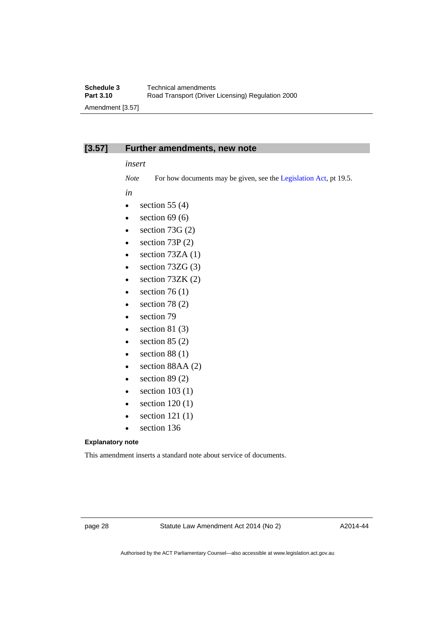# **[3.57] Further amendments, new note**

### *insert*

*Note* For how documents may be given, see the [Legislation Act,](http://www.legislation.act.gov.au/a/2001-14) pt 19.5.

*in* 

- $\bullet$  section 55 (4)
- $\bullet$  section 69 (6)
- $\bullet$  section 73G (2)
- $\bullet$  section 73P (2)
- $\bullet$  section 73ZA (1)
- $\bullet$  section 73ZG (3)
- $\bullet$  section 73ZK (2)
- $\bullet$  section 76 (1)
- $\bullet$  section 78 (2)
- section 79
- $\bullet$  section 81 (3)
- $\bullet$  section 85 (2)
- $\bullet$  section 88 (1)
- $\bullet$  section 88AA (2)
- $\bullet$  section 89 (2)
- $\bullet$  section 103 (1)
- $\bullet$  section 120 (1)
- section 121 (1)
- section 136

#### **Explanatory note**

This amendment inserts a standard note about service of documents.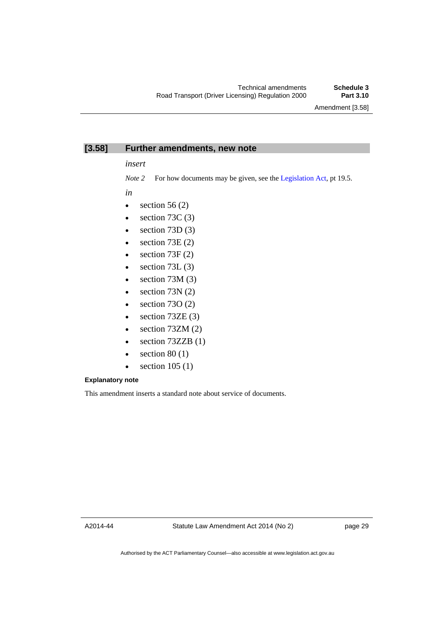# **[3.58] Further amendments, new note**

*insert* 

*Note 2* For how documents may be given, see the [Legislation Act,](http://www.legislation.act.gov.au/a/2001-14) pt 19.5.

*in* 

- $\bullet$  section 56 (2)
- $\bullet$  section 73C (3)
- $\bullet$  section 73D (3)
- $\bullet$  section 73E (2)
- $\bullet$  section 73F (2)
- $\bullet$  section 73L (3)
- $\bullet$  section 73M (3)
- $\bullet$  section 73N (2)
- $\bullet$  section 730 (2)
- $\bullet$  section 73ZE (3)
- $\bullet$  section 73ZM (2)
- $\bullet$  section 73ZZB (1)
- $\bullet$  section 80 (1)
- $\bullet$  section 105 (1)

# **Explanatory note**

This amendment inserts a standard note about service of documents.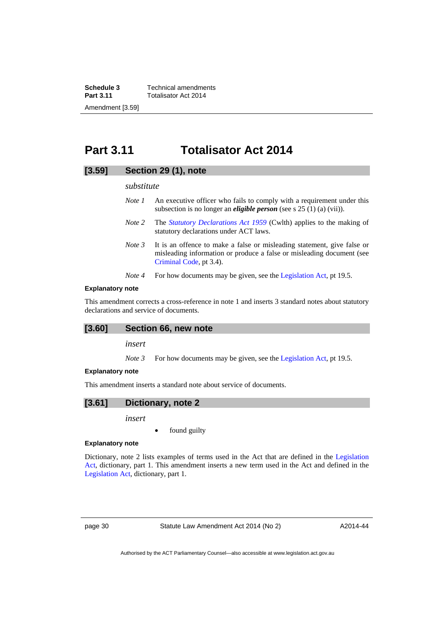**Schedule 3 Technical amendments**<br>**Part 3.11 Totalisator Act 2014 Part 3.11** Totalisator Act 2014 Amendment [3.59]

# <span id="page-31-0"></span>**Part 3.11 Totalisator Act 2014**

# **[3.59] Section 29 (1), note**

#### *substitute*

- *Note 1* An executive officer who fails to comply with a requirement under this subsection is no longer an *eligible person* (see s 25 (1) (a) (vii)).
- *Note 2* The *[Statutory Declarations Act 1959](http://www.comlaw.gov.au/Series/C2004A07365)* (Cwlth) applies to the making of statutory declarations under ACT laws.
- *Note 3* It is an offence to make a false or misleading statement, give false or misleading information or produce a false or misleading document (see [Criminal Code](http://www.legislation.act.gov.au/a/2002-51), pt 3.4).
- *Note 4* For how documents may be given, see the [Legislation Act,](http://www.legislation.act.gov.au/a/2001-14) pt 19.5.

### **Explanatory note**

This amendment corrects a cross-reference in note 1 and inserts 3 standard notes about statutory declarations and service of documents.

### **[3.60] Section 66, new note**

*insert* 

*Note 3* For how documents may be given, see the [Legislation Act,](http://www.legislation.act.gov.au/a/2001-14) pt 19.5.

#### **Explanatory note**

This amendment inserts a standard note about service of documents.

# **[3.61] Dictionary, note 2**

*insert* 

found guilty

#### **Explanatory note**

Dictionary, note 2 lists examples of terms used in the Act that are defined in the [Legislation](http://www.legislation.act.gov.au/a/2001-14)  [Act,](http://www.legislation.act.gov.au/a/2001-14) dictionary, part 1. This amendment inserts a new term used in the Act and defined in the [Legislation Act,](http://www.legislation.act.gov.au/a/2001-14) dictionary, part 1.

page 30 Statute Law Amendment Act 2014 (No 2)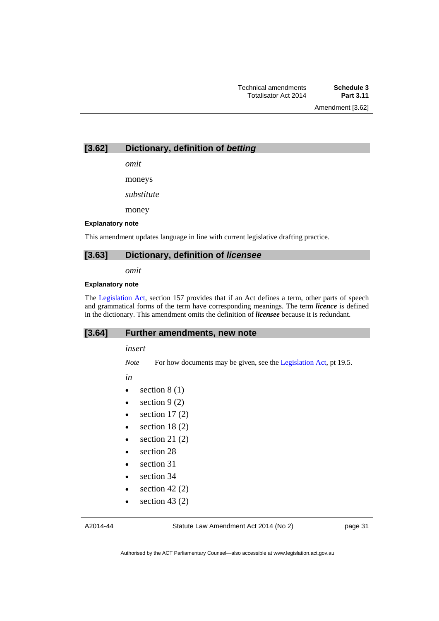Amendment [3.62]

**[3.62] Dictionary, definition of** *betting* 

*omit* 

moneys

*substitute* 

money

#### **Explanatory note**

This amendment updates language in line with current legislative drafting practice.

# **[3.63] Dictionary, definition of** *licensee*

*omit* 

#### **Explanatory note**

The [Legislation Act,](http://www.legislation.act.gov.au/a/2001-14) section 157 provides that if an Act defines a term, other parts of speech and grammatical forms of the term have corresponding meanings. The term *licence* is defined in the dictionary. This amendment omits the definition of *licensee* because it is redundant.

#### **[3.64] Further amendments, new note**

#### *insert*

*Note* For how documents may be given, see the [Legislation Act,](http://www.legislation.act.gov.au/a/2001-14) pt 19.5.

*in* 

- $\bullet$  section 8 (1)
- $\bullet$  section 9 (2)
- $\bullet$  section 17(2)
- $\bullet$  section 18 (2)
- $\bullet$  section 21 (2)
- section 28
- section 31
- section 34
- $\bullet$  section 42 (2)
- $\bullet$  section 43 (2)

Statute Law Amendment Act 2014 (No 2)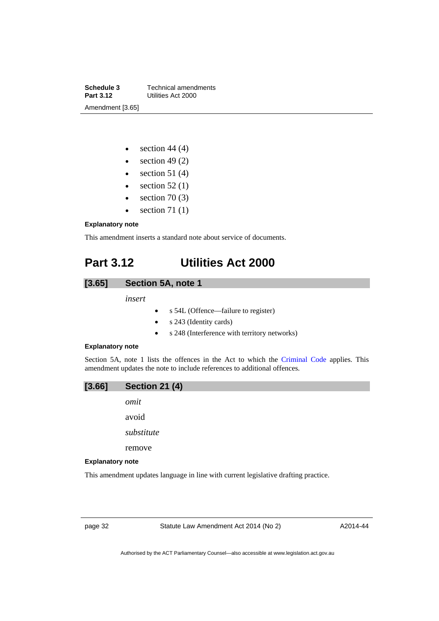**Schedule 3 Technical amendments**<br>**Part 3.12 Utilities Act 2000 Part 3.12** Utilities Act 2000 Amendment [3.65]

- $\bullet$  section 44 (4)
- $\bullet$  section 49 (2)
- $\bullet$  section 51 (4)
- $\bullet$  section 52 (1)
- $\bullet$  section 70 (3)
- $\bullet$  section 71 (1)

#### **Explanatory note**

This amendment inserts a standard note about service of documents.

# <span id="page-33-0"></span>**Part 3.12 Utilities Act 2000**

# **[3.65] Section 5A, note 1**

*insert* 

- s 54L (Offence––failure to register)
- s 243 (Identity cards)
- s 248 (Interference with territory networks)

#### **Explanatory note**

Section 5A, note 1 lists the offences in the Act to which the [Criminal Code](http://www.legislation.act.gov.au/a/2002-51) applies. This amendment updates the note to include references to additional offences.



avoid

*substitute* 

remove

#### **Explanatory note**

This amendment updates language in line with current legislative drafting practice.

page 32 Statute Law Amendment Act 2014 (No 2)

A2014-44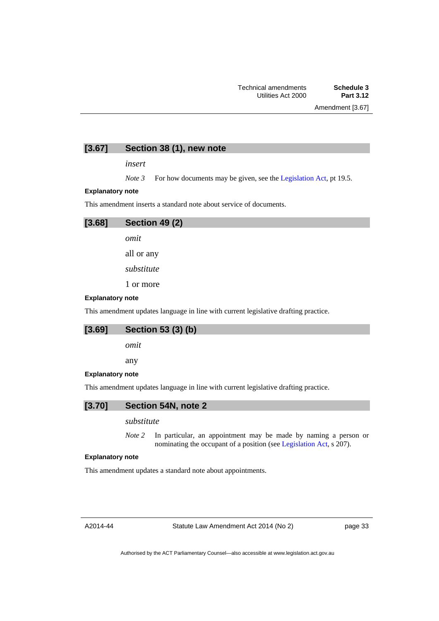# **[3.67] Section 38 (1), new note**

*insert* 

*Note* 3 For how documents may be given, see the [Legislation Act,](http://www.legislation.act.gov.au/a/2001-14) pt 19.5.

#### **Explanatory note**

This amendment inserts a standard note about service of documents.

# **[3.68] Section 49 (2)**  *omit*  all or any *substitute*

1 or more

#### **Explanatory note**

This amendment updates language in line with current legislative drafting practice.

# **[3.69] Section 53 (3) (b)**

*omit* 

any

#### **Explanatory note**

This amendment updates language in line with current legislative drafting practice.

# **[3.70] Section 54N, note 2**

# *substitute*

*Note 2* In particular, an appointment may be made by naming a person or nominating the occupant of a position (see [Legislation Act](http://www.legislation.act.gov.au/a/2001-14), s 207).

#### **Explanatory note**

This amendment updates a standard note about appointments.

A2014-44

Statute Law Amendment Act 2014 (No 2)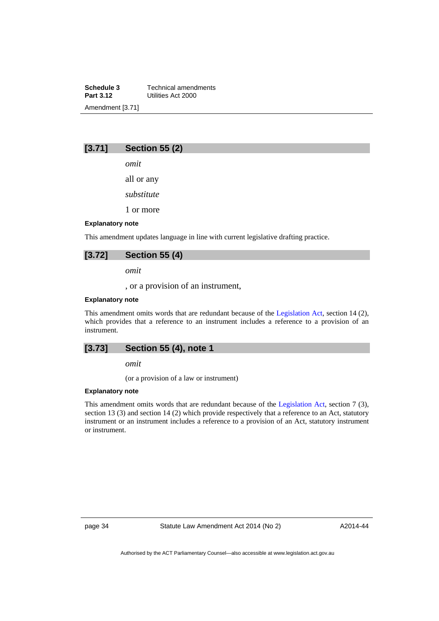**Schedule 3 Technical amendments**<br>**Part 3.12 Utilities Act 2000 Part 3.12** Utilities Act 2000 Amendment [3.71]

# **[3.71] Section 55 (2)**

*omit* 

all or any

*substitute* 

1 or more

#### **Explanatory note**

This amendment updates language in line with current legislative drafting practice.

# **[3.72] Section 55 (4)**

*omit* 

, or a provision of an instrument,

#### **Explanatory note**

This amendment omits words that are redundant because of the [Legislation Act,](http://www.legislation.act.gov.au/a/2001-14) section 14 (2), which provides that a reference to an instrument includes a reference to a provision of an instrument.

# **[3.73] Section 55 (4), note 1**

*omit* 

(or a provision of a law or instrument)

#### **Explanatory note**

This amendment omits words that are redundant because of the [Legislation Act,](http://www.legislation.act.gov.au/a/2001-14) section 7 (3), section 13 (3) and section 14 (2) which provide respectively that a reference to an Act, statutory instrument or an instrument includes a reference to a provision of an Act, statutory instrument or instrument.

page 34 Statute Law Amendment Act 2014 (No 2)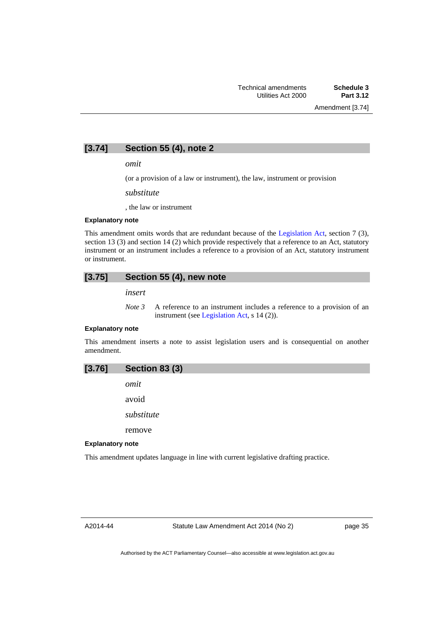Amendment [3.74]

# **[3.74] Section 55 (4), note 2**

*omit* 

(or a provision of a law or instrument), the law, instrument or provision

*substitute* 

, the law or instrument

#### **Explanatory note**

This amendment omits words that are redundant because of the [Legislation Act,](http://www.legislation.act.gov.au/a/2001-14) section 7 (3), section 13 (3) and section 14 (2) which provide respectively that a reference to an Act, statutory instrument or an instrument includes a reference to a provision of an Act, statutory instrument or instrument.

# **[3.75] Section 55 (4), new note**

*insert* 

*Note 3* A reference to an instrument includes a reference to a provision of an instrument (see [Legislation Act,](http://www.legislation.act.gov.au/a/2001-14) s 14 (2)).

#### **Explanatory note**

This amendment inserts a note to assist legislation users and is consequential on another amendment.

| [3.76] | <b>Section 83 (3)</b> |  |  |
|--------|-----------------------|--|--|
|--------|-----------------------|--|--|

*omit* 

avoid

*substitute* 

remove

#### **Explanatory note**

This amendment updates language in line with current legislative drafting practice.

A2014-44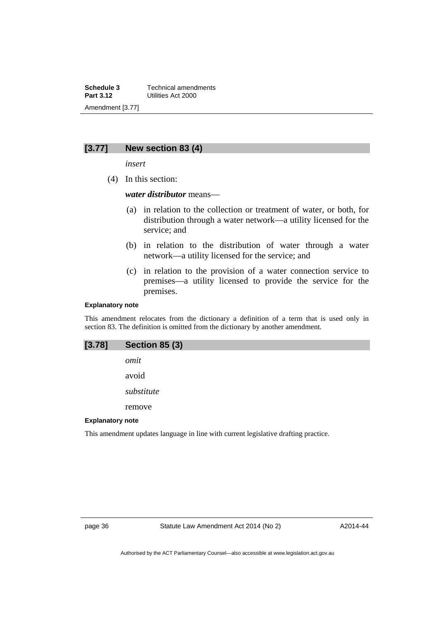**Schedule 3 Technical amendments**<br>**Part 3.12 Utilities Act 2000 Part 3.12** Utilities Act 2000 Amendment [3.77]

# **[3.77] New section 83 (4)**

*insert* 

(4) In this section:

### *water distributor* means––

- (a) in relation to the collection or treatment of water, or both, for distribution through a water network—a utility licensed for the service; and
- (b) in relation to the distribution of water through a water network—a utility licensed for the service; and
- (c) in relation to the provision of a water connection service to premises—a utility licensed to provide the service for the premises.

#### **Explanatory note**

This amendment relocates from the dictionary a definition of a term that is used only in section 83. The definition is omitted from the dictionary by another amendment.

| [3.78]                  | <b>Section 85 (3)</b>                                                               |
|-------------------------|-------------------------------------------------------------------------------------|
|                         | omit                                                                                |
|                         | avoid                                                                               |
|                         | substitute                                                                          |
|                         | remove                                                                              |
| <b>Explanatory note</b> |                                                                                     |
|                         | This amendment updates language in line with current legislative drafting practice. |

page 36 Statute Law Amendment Act 2014 (No 2)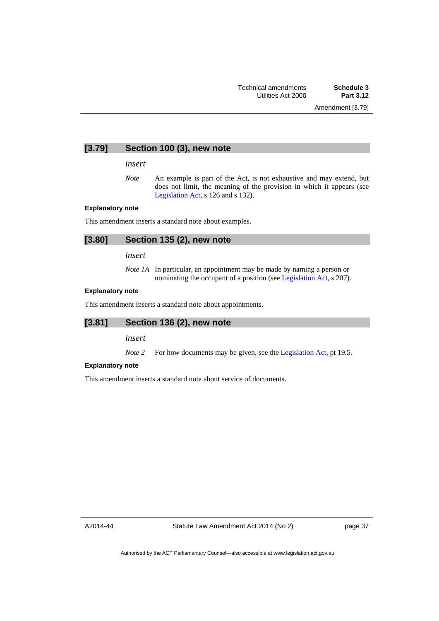# **[3.79] Section 100 (3), new note**

#### *insert*

*Note* An example is part of the Act, is not exhaustive and may extend, but does not limit, the meaning of the provision in which it appears (see [Legislation Act,](http://www.legislation.act.gov.au/a/2001-14) s 126 and s 132).

#### **Explanatory note**

This amendment inserts a standard note about examples.

# **[3.80] Section 135 (2), new note**

*insert* 

*Note 1A* In particular, an appointment may be made by naming a person or nominating the occupant of a position (see [Legislation Act](http://www.legislation.act.gov.au/a/2001-14), s 207).

#### **Explanatory note**

This amendment inserts a standard note about appointments.

# **[3.81] Section 136 (2), new note**

*insert* 

*Note 2* For how documents may be given, see the [Legislation Act,](http://www.legislation.act.gov.au/a/2001-14) pt 19.5.

#### **Explanatory note**

This amendment inserts a standard note about service of documents.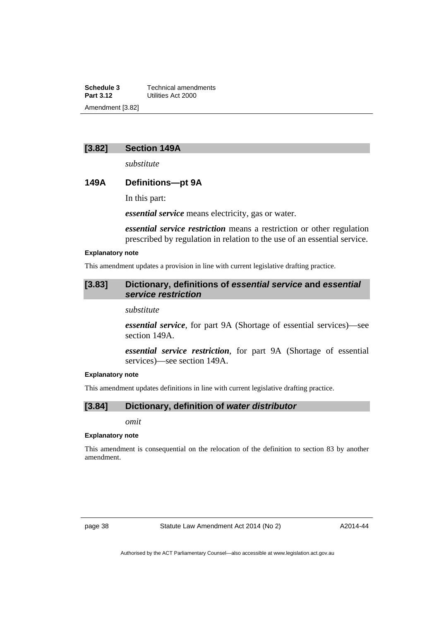**Schedule 3 Technical amendments**<br>**Part 3.12 Utilities Act 2000 Part 3.12** Utilities Act 2000 Amendment [3.82]

# **[3.82] Section 149A**

*substitute* 

# **149A Definitions—pt 9A**

In this part:

*essential service* means electricity, gas or water.

*essential service restriction* means a restriction or other regulation prescribed by regulation in relation to the use of an essential service.

#### **Explanatory note**

This amendment updates a provision in line with current legislative drafting practice.

# **[3.83] Dictionary, definitions of** *essential service* **and** *essential service restriction*

*substitute* 

*essential service*, for part 9A (Shortage of essential services)––see section 149A.

*essential service restriction*, for part 9A (Shortage of essential services)—see section 149A.

#### **Explanatory note**

This amendment updates definitions in line with current legislative drafting practice.

# **[3.84] Dictionary, definition of** *water distributor*

*omit* 

#### **Explanatory note**

This amendment is consequential on the relocation of the definition to section 83 by another amendment.

page 38 Statute Law Amendment Act 2014 (No 2)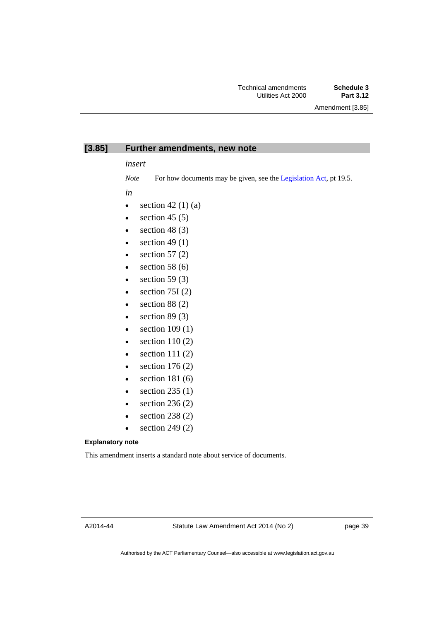Amendment [3.85]

# **[3.85] Further amendments, new note**

*insert* 

*Note* For how documents may be given, see the [Legislation Act,](http://www.legislation.act.gov.au/a/2001-14) pt 19.5.

*in* 

- $\bullet$  section 42 (1) (a)
- $\bullet$  section 45 (5)
- $\bullet$  section 48 (3)
- $\bullet$  section 49 (1)
- $\bullet$  section 57 (2)
- $\bullet$  section 58 (6)
- $\bullet$  section 59 (3)
- $\bullet$  section 75I (2)
- $\bullet$  section 88 (2)
- $\bullet$  section 89 (3)
- $\bullet$  section 109 (1)
- $\bullet$  section 110 (2)
- $\bullet$  section 111 (2)
- $\bullet$  section 176 (2)
- $\bullet$  section 181 $(6)$
- $\bullet$  section 235 (1)
- $\bullet$  section 236 (2)
- section 238 (2)
- $\bullet$  section 249 (2)

#### **Explanatory note**

This amendment inserts a standard note about service of documents.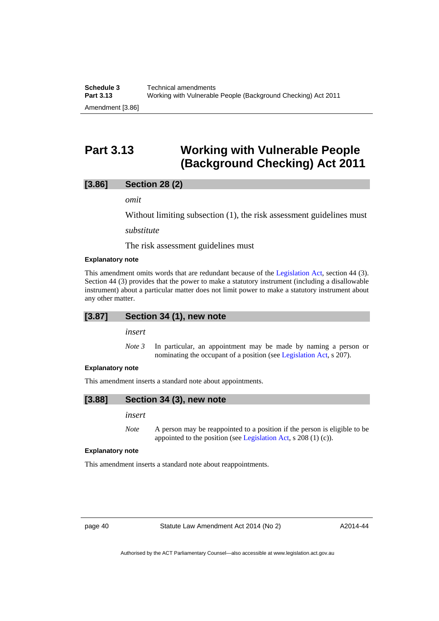# <span id="page-41-0"></span>**Part 3.13 Working with Vulnerable People (Background Checking) Act 2011**

# **[3.86] Section 28 (2)**

*omit* 

Without limiting subsection (1), the risk assessment guidelines must

*substitute* 

The risk assessment guidelines must

#### **Explanatory note**

This amendment omits words that are redundant because of the [Legislation Act](http://www.legislation.act.gov.au/a/2001-14), section 44 (3). Section 44 (3) provides that the power to make a statutory instrument (including a disallowable instrument) about a particular matter does not limit power to make a statutory instrument about any other matter.

# **[3.87] Section 34 (1), new note**

*insert* 

*Note 3* In particular, an appointment may be made by naming a person or nominating the occupant of a position (see [Legislation Act](http://www.legislation.act.gov.au/a/2001-14), s 207).

#### **Explanatory note**

This amendment inserts a standard note about appointments.

# **[3.88] Section 34 (3), new note**

*insert* 

*Note* A person may be reappointed to a position if the person is eligible to be appointed to the position (see [Legislation Act](http://www.legislation.act.gov.au/a/2001-14), s 208 (1) (c)).

#### **Explanatory note**

This amendment inserts a standard note about reappointments.

page 40 Statute Law Amendment Act 2014 (No 2)

A2014-44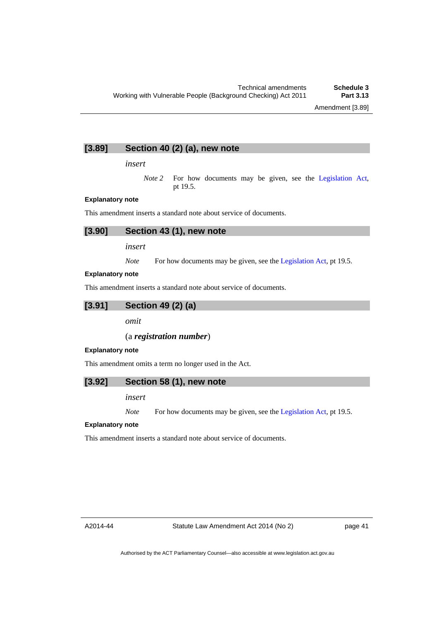# **[3.89] Section 40 (2) (a), new note**

*insert* 

*Note* 2 For how documents may be given, see the [Legislation Act,](http://www.legislation.act.gov.au/a/2001-14) pt 19.5.

#### **Explanatory note**

This amendment inserts a standard note about service of documents.

|  |  | $[3.90]$ Section 43 (1), new note |  |
|--|--|-----------------------------------|--|
|--|--|-----------------------------------|--|

*insert* 

*Note* For how documents may be given, see the [Legislation Act,](http://www.legislation.act.gov.au/a/2001-14) pt 19.5.

#### **Explanatory note**

This amendment inserts a standard note about service of documents.

**[3.91] Section 49 (2) (a)** 

*omit* 

# (a *registration number*)

#### **Explanatory note**

This amendment omits a term no longer used in the Act.

### **[3.92] Section 58 (1), new note**

*insert* 

*Note* For how documents may be given, see the [Legislation Act,](http://www.legislation.act.gov.au/a/2001-14) pt 19.5.

#### **Explanatory note**

This amendment inserts a standard note about service of documents.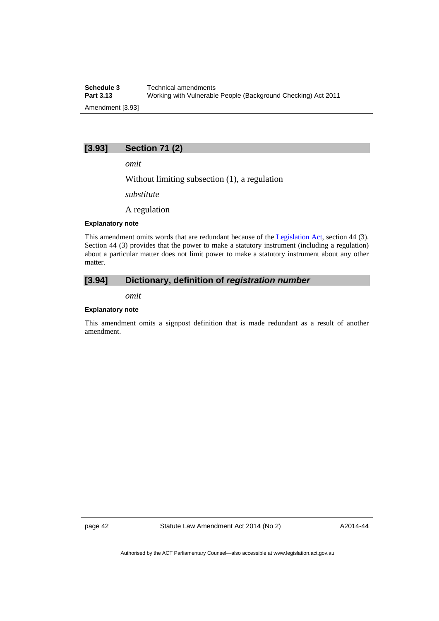**Schedule 3 Technical amendments**<br>**Part 3.13 Working with Vulnerable Part 3.13** Working with Vulnerable People (Background Checking) Act 2011 Amendment [3.93]

# **[3.93] Section 71 (2)**

*omit* 

Without limiting subsection (1), a regulation

*substitute* 

A regulation

#### **Explanatory note**

This amendment omits words that are redundant because of the [Legislation Act](http://www.legislation.act.gov.au/a/2001-14), section 44 (3). Section 44 (3) provides that the power to make a statutory instrument (including a regulation) about a particular matter does not limit power to make a statutory instrument about any other matter.

# **[3.94] Dictionary, definition of** *registration number*

*omit* 

#### **Explanatory note**

This amendment omits a signpost definition that is made redundant as a result of another amendment.

page 42 Statute Law Amendment Act 2014 (No 2)